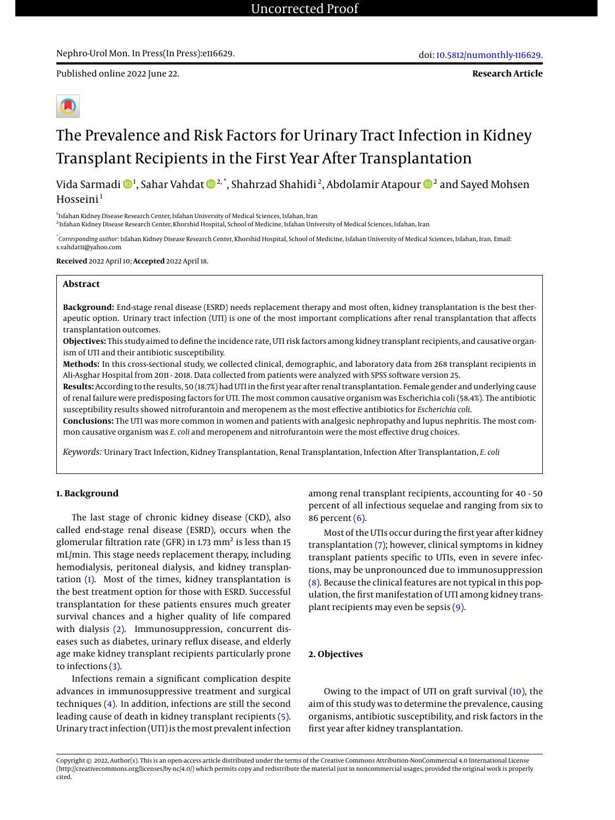Published online 2022 June 22.

**Research Article**

# The Prevalence and Risk Factors for Urinary Tract Infection in Kidney

## Transplant Recipients in the First Year After Transplantation

Vida Sarmadi  $\mathbf{D}^1$ , Sahar Vahdat  $\mathbf{D}^{2,\ast},$  Shahrzad Shahidi $^2$ , Abdolamir Atapour  $\mathbf{D}^2$  and Sayed Mohsen  $H$ osseini $<sup>1</sup>$ </sup>

<sup>1</sup>Isfahan Kidney Disease Research Center, Isfahan University of Medical Sciences, Isfahan, Iran

2 Isfahan Kidney Disease Research Center, Khorshid Hospital, School of Medicine, Isfahan University of Medical Sciences, Isfahan, Iran

\* *Corresponding author*: Isfahan Kidney Disease Research Center, Khorshid Hospital, School of Medicine, Isfahan University of Medical Sciences, Isfahan, Iran. Email: s.vahdat11@yahoo.com

**Received** 2022 April 10; **Accepted** 2022 April 18.

#### **Abstract**

**Background:** End-stage renal disease (ESRD) needs replacement therapy and most often, kidney transplantation is the best therapeutic option. Urinary tract infection (UTI) is one of the most important complications after renal transplantation that affects transplantation outcomes.

**Objectives:** This study aimed to define the incidence rate, UTI risk factors among kidney transplant recipients, and causative organism of UTI and their antibiotic susceptibility.

**Methods:** In this cross-sectional study, we collected clinical, demographic, and laboratory data from 268 transplant recipients in Ali-Asghar Hospital from 2011 - 2018. Data collected from patients were analyzed with SPSS software version 25.

**Results:** According to the results, 50 (18.7%) had UTI in the first year after renal transplantation. Female gender and underlying cause of renal failure were predisposing factors for UTI. The most common causative organism was Escherichia coli (58.4%). The antibiotic susceptibility results showed nitrofurantoin and meropenem as the most effective antibiotics for *Escherichia coli*.

**Conclusions:** The UTI was more common in women and patients with analgesic nephropathy and lupus nephritis. The most common causative organism was *E. coli* and meropenem and nitrofurantoin were the most effective drug choices.

*Keywords:* Urinary Tract Infection, Kidney Transplantation, Renal Transplantation, Infection After Transplantation, *E. coli*

#### **1. Background**

The last stage of chronic kidney disease (CKD), also called end-stage renal disease (ESRD), occurs when the glomerular filtration rate (GFR) in 1.73  $\mathrm{mm}^2$  is less than 15 mL/min. This stage needs replacement therapy, including hemodialysis, peritoneal dialysis, and kidney transplantation [\(1\)](#page-4-0). Most of the times, kidney transplantation is the best treatment option for those with ESRD. Successful transplantation for these patients ensures much greater survival chances and a higher quality of life compared with dialysis [\(2\)](#page-4-1). Immunosuppression, concurrent diseases such as diabetes, urinary reflux disease, and elderly age make kidney transplant recipients particularly prone to infections [\(3\)](#page-4-2).

Infections remain a significant complication despite advances in immunosuppressive treatment and surgical techniques [\(4\)](#page-4-3). In addition, infections are still the second leading cause of death in kidney transplant recipients [\(5\)](#page-4-4). Urinary tract infection (UTI) is themost prevalent infection

among renal transplant recipients, accounting for 40 - 50 percent of all infectious sequelae and ranging from six to 86 percent [\(6\)](#page-4-5).

Most of the UTIs occur during the first year after kidney transplantation [\(7\)](#page-4-6); however, clinical symptoms in kidney transplant patients specific to UTIs, even in severe infections, may be unpronounced due to immunosuppression [\(8\)](#page-4-7). Because the clinical features are not typical in this population, the first manifestation of UTI among kidney transplant recipients may even be sepsis [\(9\)](#page-4-8).

#### **2. Objectives**

Owing to the impact of UTI on graft survival [\(10\)](#page-4-9), the aim of this study was to determine the prevalence, causing organisms, antibiotic susceptibility, and risk factors in the first year after kidney transplantation.

Copyright © 2022, Author(s). This is an open-access article distributed under the terms of the Creative Commons Attribution-NonCommercial 4.0 International License (http://creativecommons.org/licenses/by-nc/4.0/) which permits copy and redistribute the material just in noncommercial usages, provided the original work is properly cited.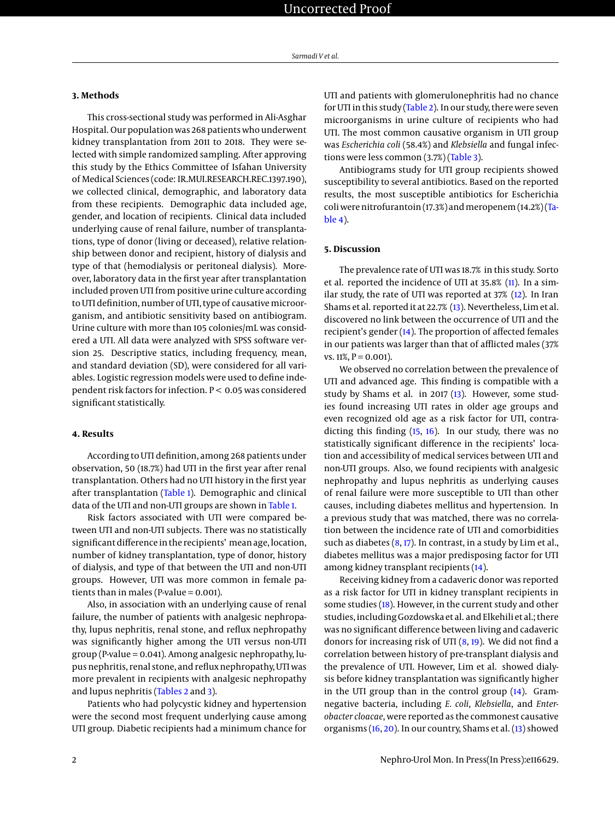#### **3. Methods**

This cross-sectional study was performed in Ali-Asghar Hospital. Our population was 268 patients who underwent kidney transplantation from 2011 to 2018. They were selected with simple randomized sampling. After approving this study by the Ethics Committee of Isfahan University of Medical Sciences (code: IR.MUI.RESEARCH.REC.1397.190), we collected clinical, demographic, and laboratory data from these recipients. Demographic data included age, gender, and location of recipients. Clinical data included underlying cause of renal failure, number of transplantations, type of donor (living or deceased), relative relationship between donor and recipient, history of dialysis and type of that (hemodialysis or peritoneal dialysis). Moreover, laboratory data in the first year after transplantation included proven UTI from positive urine culture according to UTI definition, number of UTI, type of causative microorganism, and antibiotic sensitivity based on antibiogram. Urine culture with more than 105 colonies/mL was considered a UTI. All data were analyzed with SPSS software version 25. Descriptive statics, including frequency, mean, and standard deviation (SD), were considered for all variables. Logistic regression models were used to define independent risk factors for infection. P < 0.05 was considered significant statistically.

#### **4. Results**

According to UTI definition, among 268 patients under observation, 50 (18.7%) had UTI in the first year after renal transplantation. Others had no UTI history in the first year after transplantation [\(Table 1\)](#page-2-0). Demographic and clinical data of the UTI and non-UTI groups are shown in [Table 1.](#page-2-0)

Risk factors associated with UTI were compared between UTI and non-UTI subjects. There was no statistically significant difference in the recipients' mean age, location, number of kidney transplantation, type of donor, history of dialysis, and type of that between the UTI and non-UTI groups. However, UTI was more common in female patients than in males (P-value  $= 0.001$ ).

Also, in association with an underlying cause of renal failure, the number of patients with analgesic nephropathy, lupus nephritis, renal stone, and reflux nephropathy was significantly higher among the UTI versus non-UTI group (P-value = 0.041). Among analgesic nephropathy, lupus nephritis, renal stone, and reflux nephropathy, UTI was more prevalent in recipients with analgesic nephropathy and lupus nephritis [\(Tables 2](#page-2-1) and [3\)](#page-2-2).

Patients who had polycystic kidney and hypertension were the second most frequent underlying cause among UTI group. Diabetic recipients had a minimum chance for UTI and patients with glomerulonephritis had no chance for UTI in this study [\(Table 2\)](#page-2-1). In our study, there were seven microorganisms in urine culture of recipients who had UTI. The most common causative organism in UTI group was *Escherichia coli* (58.4%) and *Klebsiella* and fungal infections were less common (3.7%) [\(Table 3\)](#page-2-2).

Antibiograms study for UTI group recipients showed susceptibility to several antibiotics. Based on the reported results, the most susceptible antibiotics for Escherichia coli were nitrofurantoin (17.3%) and meropenem (14.2%) [\(Ta](#page-3-0)[ble 4\)](#page-3-0).

#### **5. Discussion**

The prevalence rate of UTI was 18.7% in this study. Sorto et al. reported the incidence of UTI at 35.8% [\(11\)](#page-4-10). In a similar study, the rate of UTI was reported at 37% [\(12\)](#page-4-11). In Iran Shams et al. reported it at 22.7% [\(13\)](#page-4-12). Nevertheless, Lim et al. discovered no link between the occurrence of UTI and the recipient's gender [\(14\)](#page-4-13). The proportion of affected females in our patients was larger than that of afflicted males (37% vs.  $11\%, P = 0.001$ ).

We observed no correlation between the prevalence of UTI and advanced age. This finding is compatible with a study by Shams et al. in 2017 [\(13\)](#page-4-12). However, some studies found increasing UTI rates in older age groups and even recognized old age as a risk factor for UTI, contradicting this finding [\(15,](#page-4-14) [16\)](#page-4-15). In our study, there was no statistically significant difference in the recipients' location and accessibility of medical services between UTI and non-UTI groups. Also, we found recipients with analgesic nephropathy and lupus nephritis as underlying causes of renal failure were more susceptible to UTI than other causes, including diabetes mellitus and hypertension. In a previous study that was matched, there was no correlation between the incidence rate of UTI and comorbidities such as diabetes  $(8, 17)$  $(8, 17)$  $(8, 17)$ . In contrast, in a study by Lim et al., diabetes mellitus was a major predisposing factor for UTI among kidney transplant recipients [\(14\)](#page-4-13).

Receiving kidney from a cadaveric donor was reported as a risk factor for UTI in kidney transplant recipients in some studies [\(18\)](#page-4-17). However, in the current study and other studies, including Gozdowska et al. and Elkehili et al.; there was no significant difference between living and cadaveric donors for increasing risk of UTI  $(8, 19)$  $(8, 19)$  $(8, 19)$ . We did not find a correlation between history of pre-transplant dialysis and the prevalence of UTI. However, Lim et al. showed dialysis before kidney transplantation was significantly higher in the UTI group than in the control group [\(14\)](#page-4-13). Gramnegative bacteria, including *E. coli*, *Klebsiella*, and *Enterobacter cloacae*, were reported as the commonest causative organisms [\(16,](#page-4-15) [20\)](#page-4-19). In our country, Shams et al. [\(13\)](#page-4-12) showed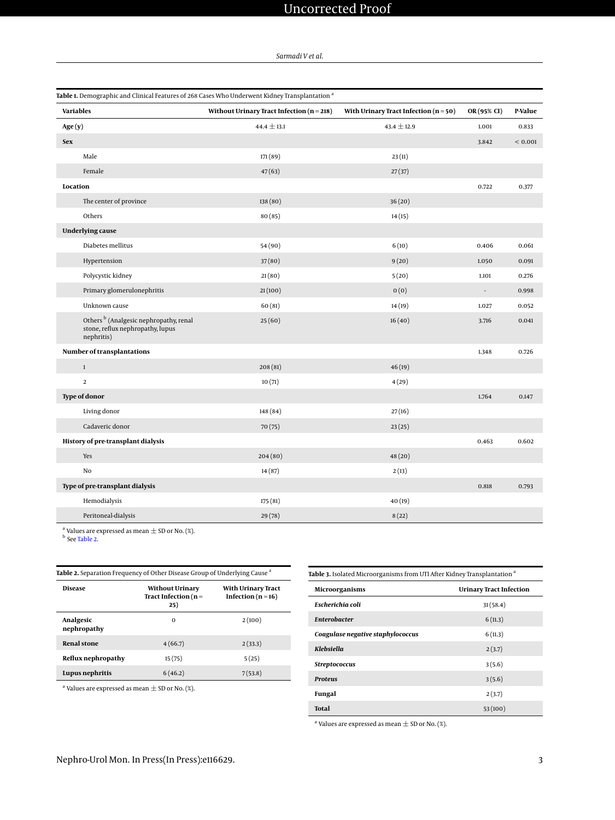### Uncorrected Proof

*Sarmadi V et al.*

<span id="page-2-0"></span>

| Table 1. Demographic and Clinical Features of 268 Cases Who Underwent Kidney Transplantation <sup>a</sup> |                                               |                                         |             |         |  |  |  |
|-----------------------------------------------------------------------------------------------------------|-----------------------------------------------|-----------------------------------------|-------------|---------|--|--|--|
| <b>Variables</b>                                                                                          | Without Urinary Tract Infection ( $n = 218$ ) | With Urinary Tract Infection $(n = 50)$ | OR (95% CI) | P-Value |  |  |  |
| Age(y)                                                                                                    | $44.4 \pm 13.1$                               | $43.4 \pm 12.9$                         | 1.001       | 0.833   |  |  |  |
| <b>Sex</b>                                                                                                |                                               |                                         | 3.842       | < 0.001 |  |  |  |
| Male                                                                                                      | 171 (89)                                      | 23(11)                                  |             |         |  |  |  |
| Female                                                                                                    | 47(63)                                        | 27(37)                                  |             |         |  |  |  |
| Location                                                                                                  |                                               |                                         | 0.722       | 0.377   |  |  |  |
| The center of province                                                                                    | 138 (80)                                      | 36(20)                                  |             |         |  |  |  |
| Others                                                                                                    | 80(85)                                        | 14(15)                                  |             |         |  |  |  |
| <b>Underlying cause</b>                                                                                   |                                               |                                         |             |         |  |  |  |
| Diabetes mellitus                                                                                         | 54 (90)                                       | 6(10)                                   | 0.406       | 0.061   |  |  |  |
| Hypertension                                                                                              | 37(80)                                        | 9(20)                                   | 1.050       | 0.091   |  |  |  |
| Polycystic kidney                                                                                         | 21(80)                                        | 5(20)                                   | 1.101       | 0.276   |  |  |  |
| Primary glomerulonephritis                                                                                | 21(100)                                       | 0(0)                                    | ÷.          | 0.998   |  |  |  |
| Unknown cause                                                                                             | 60(81)                                        | 14(19)                                  | 1.027       | 0.052   |  |  |  |
| Others <sup>b</sup> (Analgesic nephropathy, renal<br>stone, reflux nephropathy, lupus<br>nephritis)       | 25(60)                                        | 16(40)                                  | 3.716       | 0.041   |  |  |  |
| Number of transplantations                                                                                |                                               |                                         | 1.348       | 0.726   |  |  |  |
| $\,1\,$                                                                                                   | 208(81)                                       | 46(19)                                  |             |         |  |  |  |
| $\mathbf 2$                                                                                               | 10(71)                                        | 4(29)                                   |             |         |  |  |  |
| <b>Type of donor</b>                                                                                      |                                               |                                         | 1.764       | 0.147   |  |  |  |
| Living donor                                                                                              | 148 (84)                                      | 27(16)                                  |             |         |  |  |  |
| Cadaveric donor                                                                                           | 70(75)                                        | 23(25)                                  |             |         |  |  |  |
| History of pre-transplant dialysis                                                                        |                                               |                                         | 0.463       | 0.602   |  |  |  |
| Yes                                                                                                       | 204(80)                                       | 48(20)                                  |             |         |  |  |  |
| No                                                                                                        | 14(87)                                        | 2(13)                                   |             |         |  |  |  |
| Type of pre-transplant dialysis                                                                           |                                               |                                         | 0.818       | 0.793   |  |  |  |
| Hemodialysis                                                                                              | 175 (81)                                      | 40(19)                                  |             |         |  |  |  |
| Peritoneal-dialysis                                                                                       | 29(78)                                        | 8(22)                                   |             |         |  |  |  |

<sup>a</sup> Values are expressed as mean  $\pm$  SD or No. (%).<br><sup>b</sup> See [Table 2.](#page-2-1)

<span id="page-2-1"></span>

| Table 2. Separation Frequency of Other Disease Group of Underlying Cause <sup>a</sup> |                                              |  |  |  |
|---------------------------------------------------------------------------------------|----------------------------------------------|--|--|--|
| <b>Without Urinary</b><br>Tract Infection ( $n =$<br>25)                              | With Urinary Tract<br>Infection ( $n = 16$ ) |  |  |  |
| $\Omega$                                                                              | 2(100)                                       |  |  |  |
| 4(66.7)                                                                               | 2(33.3)                                      |  |  |  |
| 15(75)                                                                                | 5(25)                                        |  |  |  |
| 6(46.2)                                                                               | 7(53.8)                                      |  |  |  |
|                                                                                       |                                              |  |  |  |

 $^{\rm a}$  Values are expressed as mean  $\pm$  SD or No. (%).

<span id="page-2-2"></span>

| Table 3. Isolated Microorganisms from UTI After Kidney Transplantation <sup>a</sup> |                                |  |  |  |
|-------------------------------------------------------------------------------------|--------------------------------|--|--|--|
| Microorganisms                                                                      | <b>Urinary Tract Infection</b> |  |  |  |
| Escherichia coli                                                                    | 31(58.4)                       |  |  |  |
| <b>Enterobacter</b>                                                                 | 6(11.3)                        |  |  |  |
| Coagulase negative staphylococcus                                                   | 6(11.3)                        |  |  |  |
| Klebsiella                                                                          | 2(3.7)                         |  |  |  |
| Streptococcus                                                                       | 3(5.6)                         |  |  |  |
| <b>Proteus</b>                                                                      | 3(5.6)                         |  |  |  |
| Fungal                                                                              | 2(3.7)                         |  |  |  |
| <b>Total</b>                                                                        | 53(100)                        |  |  |  |

<sup>a</sup> Values are expressed as mean  $\pm$  SD or No. (%).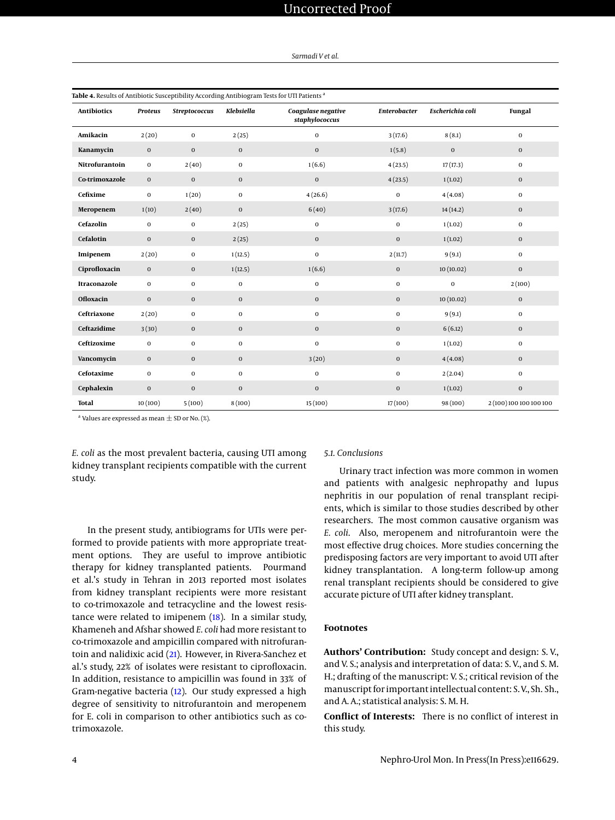| Sarmadi V et al. |  |
|------------------|--|
|------------------|--|

<span id="page-3-0"></span>

| Table 4. Results of Antibiotic Susceptibility According Antibiogram Tests for UTI Patients <sup>a</sup> |                |                      |              |                                      |                     |                  |                         |
|---------------------------------------------------------------------------------------------------------|----------------|----------------------|--------------|--------------------------------------|---------------------|------------------|-------------------------|
| <b>Antibiotics</b>                                                                                      | <b>Proteus</b> | <b>Streptococcus</b> | Klebsiella   | Coagulase negative<br>staphylococcus | <b>Enterobacter</b> | Escherichia coli | Fungal                  |
| Amikacin                                                                                                | 2(20)          | $\mathbf 0$          | 2(25)        | $\mathbf 0$                          | 3(17.6)             | 8(8.1)           | $\mathbf 0$             |
| Kanamycin                                                                                               | $\mathbf 0$    | $\bf{0}$             | $\mathbf 0$  | $\bf{0}$                             | 1(5.8)              | $\mathbf 0$      | $\mathbf 0$             |
| Nitrofurantoin                                                                                          | $\mathbf{0}$   | 2(40)                | $\mathbf{0}$ | 1(6.6)                               | 4(23.5)             | 17(17.3)         | $\mathbf 0$             |
| Co-trimoxazole                                                                                          | $\mathbf 0$    | $\mathbf 0$          | $\mathbf 0$  | $\mathbf 0$                          | 4(23.5)             | 1(1.02)          | $\mathbf 0$             |
| Cefixime                                                                                                | $\bf{0}$       | 1(20)                | $\mathbf 0$  | 4(26.6)                              | 0                   | 4(4.08)          | $\mathbf 0$             |
| Meropenem                                                                                               | 1(10)          | 2(40)                | $\mathbf 0$  | 6(40)                                | 3(17.6)             | 14(14.2)         | $\mathbf 0$             |
| Cefazolin                                                                                               | $\mathbf 0$    | $\mathbf 0$          | 2(25)        | $\mathbf 0$                          | $\bf{0}$            | 1(1.02)          | $\mathbf 0$             |
| Cefalotin                                                                                               | $\mathbf 0$    | $\mathbf 0$          | 2(25)        | $\bf{0}$                             | $\mathbf 0$         | 1(1.02)          | $\mathbf 0$             |
| Imipenem                                                                                                | 2(20)          | $\mathbf 0$          | 1(12.5)      | $\mathbf 0$                          | 2(11.7)             | 9(9.1)           | $\mathbf 0$             |
| Ciprofloxacin                                                                                           | $\mathbf 0$    | $\mathbf 0$          | 1(12.5)      | 1(6.6)                               | $\mathbf 0$         | 10(10.02)        | $\mathbf 0$             |
| Itraconazole                                                                                            | $\bf{0}$       | $\mathbf 0$          | $\mathbf 0$  | $\mathbf 0$                          | 0                   | $\mathbf 0$      | 2(100)                  |
| <b>Ofloxacin</b>                                                                                        | $\mathbf 0$    | $\mathbf 0$          | $\mathbf 0$  | $\bf{0}$                             | $\mathbf 0$         | 10(10.02)        | $\mathbf 0$             |
| Ceftriaxone                                                                                             | 2(20)          | $\mathbf 0$          | $\mathbf 0$  | $\mathbf{0}$                         | $\mathbf{O}$        | 9(9.1)           | $\mathbf 0$             |
| Ceftazidime                                                                                             | 3(30)          | $\bf{0}$             | $\mathbf 0$  | $\bf{0}$                             | $\mathbf 0$         | 6(6.12)          | $\mathbf 0$             |
| Ceftizoxime                                                                                             | $\bf{0}$       | $\bf{0}$             | $\mathbf 0$  | $\mathbf 0$                          | 0                   | 1(1.02)          | $\bf{0}$                |
| Vancomycin                                                                                              | $\mathbf 0$    | $\bf{0}$             | $\mathbf 0$  | 3(20)                                | $\boldsymbol{0}$    | 4(4.08)          | $\bf{0}$                |
| Cefotaxime                                                                                              | $\bf{0}$       | $\mathbf 0$          | $\mathbf 0$  | $\mathbf 0$                          | $\mathbf 0$         | 2(2.04)          | $\bf{0}$                |
| Cephalexin                                                                                              | $\mathbf 0$    | $\bf{0}$             | $\mathbf 0$  | $\bf{0}$                             | $\boldsymbol{0}$    | 1(1.02)          | $\mathbf 0$             |
| <b>Total</b>                                                                                            | 10(100)        | 5(100)               | 8(100)       | 15(100)                              | 17(100)             | 98 (100)         | 2 (100) 100 100 100 100 |

 $^{\rm a}$  Values are expressed as mean  $\pm$  SD or No. (%).

*E. coli* as the most prevalent bacteria, causing UTI among kidney transplant recipients compatible with the current study.

#### In the present study, antibiograms for UTIs were performed to provide patients with more appropriate treatment options. They are useful to improve antibiotic therapy for kidney transplanted patients. Pourmand et al.'s study in Tehran in 2013 reported most isolates from kidney transplant recipients were more resistant to co-trimoxazole and tetracycline and the lowest resistance were related to imipenem [\(18\)](#page-4-17). In a similar study, Khameneh and Afshar showed *E. coli* had more resistant to co-trimoxazole and ampicillin compared with nitrofurantoin and nalidixic acid [\(21\)](#page-4-20). However, in Rivera-Sanchez et al.'s study, 22% of isolates were resistant to ciprofloxacin. In addition, resistance to ampicillin was found in 33% of Gram-negative bacteria [\(12\)](#page-4-11). Our study expressed a high degree of sensitivity to nitrofurantoin and meropenem for E. coli in comparison to other antibiotics such as cotrimoxazole.

#### *5.1. Conclusions*

Urinary tract infection was more common in women and patients with analgesic nephropathy and lupus nephritis in our population of renal transplant recipients, which is similar to those studies described by other researchers. The most common causative organism was *E. coli*. Also, meropenem and nitrofurantoin were the most effective drug choices. More studies concerning the predisposing factors are very important to avoid UTI after kidney transplantation. A long-term follow-up among renal transplant recipients should be considered to give accurate picture of UTI after kidney transplant.

#### **Footnotes**

**Authors' Contribution:** Study concept and design: S. V., and V. S.; analysis and interpretation of data: S. V., and S. M. H.; drafting of the manuscript: V. S.; critical revision of the manuscript for important intellectual content: S. V., Sh. Sh., and A. A.; statistical analysis: S. M. H.

**Conflict of Interests:** There is no conflict of interest in this study.